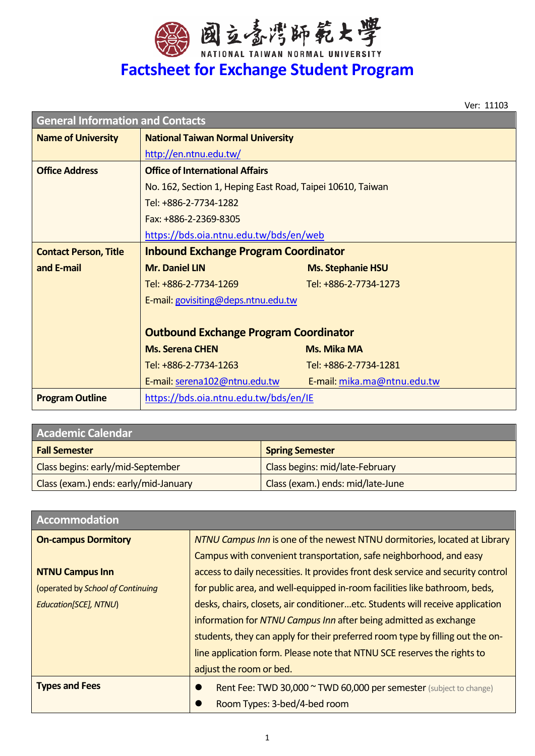

Ver: 11103

| <b>General Information and Contacts</b> |                                                            |                             |  |
|-----------------------------------------|------------------------------------------------------------|-----------------------------|--|
| <b>Name of University</b>               | <b>National Taiwan Normal University</b>                   |                             |  |
|                                         | http://en.ntnu.edu.tw/                                     |                             |  |
| <b>Office Address</b>                   | <b>Office of International Affairs</b>                     |                             |  |
|                                         | No. 162, Section 1, Heping East Road, Taipei 10610, Taiwan |                             |  |
|                                         | Tel: +886-2-7734-1282                                      |                             |  |
|                                         | Fax: +886-2-2369-8305                                      |                             |  |
|                                         | https://bds.oia.ntnu.edu.tw/bds/en/web                     |                             |  |
| <b>Contact Person, Title</b>            | <b>Inbound Exchange Program Coordinator</b>                |                             |  |
| and E-mail                              | <b>Mr. Daniel LIN</b>                                      | <b>Ms. Stephanie HSU</b>    |  |
|                                         | Tel: +886-2-7734-1269                                      | Tel: +886-2-7734-1273       |  |
|                                         | E-mail: govisiting@deps.ntnu.edu.tw                        |                             |  |
|                                         |                                                            |                             |  |
|                                         | <b>Outbound Exchange Program Coordinator</b>               |                             |  |
|                                         | <b>Ms. Serena CHEN</b>                                     | <b>Ms. Mika MA</b>          |  |
|                                         | Tel: +886-2-7734-1263                                      | Tel: +886-2-7734-1281       |  |
|                                         | E-mail: serena102@ntnu.edu.tw                              | E-mail: mika.ma@ntnu.edu.tw |  |
| <b>Program Outline</b>                  | https://bds.oia.ntnu.edu.tw/bds/en/IE                      |                             |  |

| <b>Academic Calendar</b>              |                                   |  |
|---------------------------------------|-----------------------------------|--|
| <b>Fall Semester</b>                  | <b>Spring Semester</b>            |  |
| Class begins: early/mid-September     | Class begins: mid/late-February   |  |
| Class (exam.) ends: early/mid-January | Class (exam.) ends: mid/late-June |  |

| <b>Accommodation</b>              |                                                                                  |  |
|-----------------------------------|----------------------------------------------------------------------------------|--|
| <b>On-campus Dormitory</b>        | NTNU Campus Inn is one of the newest NTNU dormitories, located at Library        |  |
|                                   | Campus with convenient transportation, safe neighborhood, and easy               |  |
| <b>NTNU Campus Inn</b>            | access to daily necessities. It provides front desk service and security control |  |
| (operated by School of Continuing | for public area, and well-equipped in-room facilities like bathroom, beds,       |  |
| Education[SCE], NTNU)             | desks, chairs, closets, air conditioneretc. Students will receive application    |  |
|                                   | information for NTNU Campus Inn after being admitted as exchange                 |  |
|                                   | students, they can apply for their preferred room type by filling out the on-    |  |
|                                   | line application form. Please note that NTNU SCE reserves the rights to          |  |
|                                   | adjust the room or bed.                                                          |  |
| <b>Types and Fees</b>             | Rent Fee: TWD 30,000 ~ TWD 60,000 per semester (subject to change)               |  |
|                                   | Room Types: 3-bed/4-bed room                                                     |  |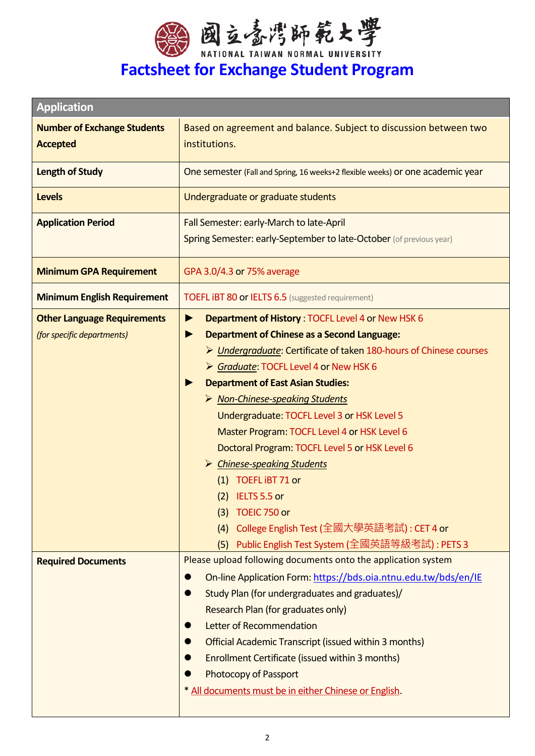

| <b>Application</b>                 |                                                                                       |  |
|------------------------------------|---------------------------------------------------------------------------------------|--|
| <b>Number of Exchange Students</b> | Based on agreement and balance. Subject to discussion between two                     |  |
| <b>Accepted</b>                    | institutions.                                                                         |  |
| <b>Length of Study</b>             | One semester (Fall and Spring, 16 weeks+2 flexible weeks) or one academic year        |  |
| <b>Levels</b>                      | Undergraduate or graduate students                                                    |  |
| <b>Application Period</b>          | Fall Semester: early-March to late-April                                              |  |
|                                    | Spring Semester: early-September to late-October (of previous year)                   |  |
| <b>Minimum GPA Requirement</b>     | GPA 3.0/4.3 or 75% average                                                            |  |
| <b>Minimum English Requirement</b> | <b>TOEFL IBT 80 or IELTS 6.5</b> (suggested requirement)                              |  |
| <b>Other Language Requirements</b> | Department of History: TOCFL Level 4 or New HSK 6<br>▶                                |  |
| (for specific departments)         | <b>Department of Chinese as a Second Language:</b><br>▶                               |  |
|                                    | > Undergraduate: Certificate of taken 180-hours of Chinese courses                    |  |
|                                    | Scraduate: TOCFL Level 4 or New HSK 6                                                 |  |
|                                    | <b>Department of East Asian Studies:</b><br>▶                                         |  |
|                                    | > Non-Chinese-speaking Students                                                       |  |
|                                    | Undergraduate: TOCFL Level 3 or HSK Level 5                                           |  |
|                                    | Master Program: TOCFL Level 4 or HSK Level 6                                          |  |
|                                    | Doctoral Program: TOCFL Level 5 or HSK Level 6                                        |  |
|                                    | > Chinese-speaking Students                                                           |  |
|                                    | (1) TOEFL iBT 71 or                                                                   |  |
|                                    | $(2)$ IELTS 5.5 or                                                                    |  |
|                                    | (3) TOEIC 750 or                                                                      |  |
|                                    | College English Test (全國大學英語考試) : CET 4 or<br>(4)                                     |  |
|                                    | Public English Test System (全國英語等級考試) : PETS 3<br>(5)                                 |  |
| <b>Required Documents</b>          | Please upload following documents onto the application system                         |  |
|                                    | On-line Application Form: https://bds.oia.ntnu.edu.tw/bds/en/IE<br>0                  |  |
|                                    | Study Plan (for undergraduates and graduates)/<br>$\bullet$                           |  |
|                                    | Research Plan (for graduates only)                                                    |  |
|                                    | Letter of Recommendation<br>O                                                         |  |
|                                    | <b>Official Academic Transcript (issued within 3 months)</b>                          |  |
|                                    | Enrollment Certificate (issued within 3 months)                                       |  |
|                                    | <b>Photocopy of Passport</b><br>* All documents must be in either Chinese or English. |  |
|                                    |                                                                                       |  |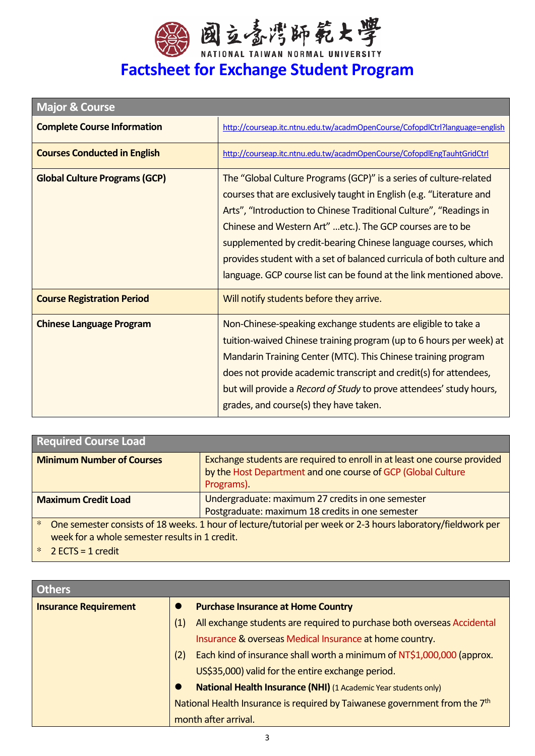

# **Factsheet for Exchange Student Program**

| <b>Major &amp; Course</b>            |                                                                                                                                                                                                                                                                                                                                                                                                                                                                                                 |
|--------------------------------------|-------------------------------------------------------------------------------------------------------------------------------------------------------------------------------------------------------------------------------------------------------------------------------------------------------------------------------------------------------------------------------------------------------------------------------------------------------------------------------------------------|
| <b>Complete Course Information</b>   | http://courseap.itc.ntnu.edu.tw/acadmOpenCourse/CofopdlCtrl?language=english                                                                                                                                                                                                                                                                                                                                                                                                                    |
| <b>Courses Conducted in English</b>  | http://courseap.itc.ntnu.edu.tw/acadmOpenCourse/CofopdlEngTauhtGridCtrl                                                                                                                                                                                                                                                                                                                                                                                                                         |
| <b>Global Culture Programs (GCP)</b> | The "Global Culture Programs (GCP)" is a series of culture-related<br>courses that are exclusively taught in English (e.g. "Literature and<br>Arts", "Introduction to Chinese Traditional Culture", "Readings in<br>Chinese and Western Art" etc.). The GCP courses are to be<br>supplemented by credit-bearing Chinese language courses, which<br>provides student with a set of balanced curricula of both culture and<br>language. GCP course list can be found at the link mentioned above. |
| <b>Course Registration Period</b>    | Will notify students before they arrive.                                                                                                                                                                                                                                                                                                                                                                                                                                                        |
| <b>Chinese Language Program</b>      | Non-Chinese-speaking exchange students are eligible to take a<br>tuition-waived Chinese training program (up to 6 hours per week) at<br>Mandarin Training Center (MTC). This Chinese training program<br>does not provide academic transcript and credit(s) for attendees,<br>but will provide a Record of Study to prove attendees' study hours,<br>grades, and course(s) they have taken.                                                                                                     |

| <b>Required Course Load</b>                                                                                                                                              |                                                                                                                                                        |  |
|--------------------------------------------------------------------------------------------------------------------------------------------------------------------------|--------------------------------------------------------------------------------------------------------------------------------------------------------|--|
| <b>Minimum Number of Courses</b>                                                                                                                                         | Exchange students are required to enroll in at least one course provided<br>by the Host Department and one course of GCP (Global Culture<br>Programs). |  |
| <b>Maximum Credit Load</b>                                                                                                                                               | Undergraduate: maximum 27 credits in one semester                                                                                                      |  |
|                                                                                                                                                                          | Postgraduate: maximum 18 credits in one semester                                                                                                       |  |
| $\ast$<br>One semester consists of 18 weeks. 1 hour of lecture/tutorial per week or 2-3 hours laboratory/fieldwork per<br>week for a whole semester results in 1 credit. |                                                                                                                                                        |  |

\* 2 ECTS = 1 credit

| Others                       |                                                                                        |  |
|------------------------------|----------------------------------------------------------------------------------------|--|
| <b>Insurance Requirement</b> | <b>Purchase Insurance at Home Country</b>                                              |  |
|                              | All exchange students are required to purchase both overseas Accidental<br>(1)         |  |
|                              | Insurance & overseas Medical Insurance at home country.                                |  |
|                              | Each kind of insurance shall worth a minimum of NT\$1,000,000 (approx.<br>(2)          |  |
|                              | US\$35,000) valid for the entire exchange period.                                      |  |
|                              | <b>National Health Insurance (NHI)</b> (1 Academic Year students only)                 |  |
|                              | National Health Insurance is required by Taiwanese government from the 7 <sup>th</sup> |  |
|                              | month after arrival.                                                                   |  |